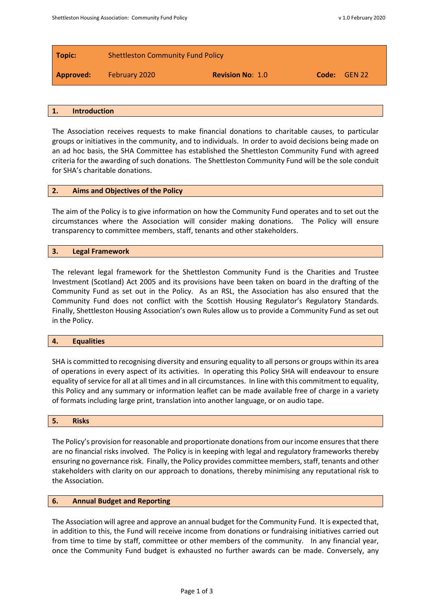| Topic:    | <b>Shettleston Community Fund Policy</b> |                         |              |  |
|-----------|------------------------------------------|-------------------------|--------------|--|
| Approved: | February 2020                            | <b>Revision No: 1.0</b> | Code: GEN 22 |  |

#### **1. Introduction**

The Association receives requests to make financial donations to charitable causes, to particular groups or initiatives in the community, and to individuals. In order to avoid decisions being made on an ad hoc basis, the SHA Committee has established the Shettleston Community Fund with agreed criteria for the awarding of such donations. The Shettleston Community Fund will be the sole conduit for SHA's charitable donations.

### **2. Aims and Objectives of the Policy**

The aim of the Policy is to give information on how the Community Fund operates and to set out the circumstances where the Association will consider making donations. The Policy will ensure transparency to committee members, staff, tenants and other stakeholders.

### **3. Legal Framework**

The relevant legal framework for the Shettleston Community Fund is the Charities and Trustee Investment (Scotland) Act 2005 and its provisions have been taken on board in the drafting of the Community Fund as set out in the Policy. As an RSL, the Association has also ensured that the Community Fund does not conflict with the Scottish Housing Regulator's Regulatory Standards. Finally, Shettleston Housing Association's own Rules allow us to provide a Community Fund as set out in the Policy.

### **4. Equalities**

SHA is committed to recognising diversity and ensuring equality to all persons or groups within its area of operations in every aspect of its activities. In operating this Policy SHA will endeavour to ensure equality of service for all at all times and in all circumstances. In line with this commitment to equality, this Policy and any summary or information leaflet can be made available free of charge in a variety of formats including large print, translation into another language, or on audio tape.

### **5. Risks**

The Policy's provision for reasonable and proportionate donations from our income ensures that there are no financial risks involved. The Policy is in keeping with legal and regulatory frameworks thereby ensuring no governance risk. Finally, the Policy provides committee members, staff, tenants and other stakeholders with clarity on our approach to donations, thereby minimising any reputational risk to the Association.

### **6. Annual Budget and Reporting**

The Association will agree and approve an annual budget for the Community Fund. It is expected that, in addition to this, the Fund will receive income from donations or fundraising initiatives carried out from time to time by staff, committee or other members of the community. In any financial year, once the Community Fund budget is exhausted no further awards can be made. Conversely, any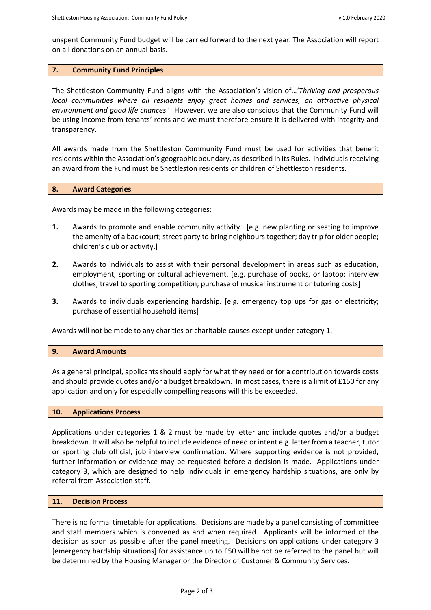unspent Community Fund budget will be carried forward to the next year. The Association will report on all donations on an annual basis.

## **7. Community Fund Principles**

The Shettleston Community Fund aligns with the Association's vision of…'*Thriving and prosperous local communities where all residents enjoy great homes and services, an attractive physical environment and good life chances*.' However, we are also conscious that the Community Fund will be using income from tenants' rents and we must therefore ensure it is delivered with integrity and transparency.

All awards made from the Shettleston Community Fund must be used for activities that benefit residents within the Association's geographic boundary, as described in its Rules. Individuals receiving an award from the Fund must be Shettleston residents or children of Shettleston residents.

## **8. Award Categories**

Awards may be made in the following categories:

- **1.** Awards to promote and enable community activity. [e.g. new planting or seating to improve the amenity of a backcourt; street party to bring neighbours together; day trip for older people; children's club or activity.]
- **2.** Awards to individuals to assist with their personal development in areas such as education, employment, sporting or cultural achievement. [e.g. purchase of books, or laptop; interview clothes; travel to sporting competition; purchase of musical instrument or tutoring costs]
- **3.** Awards to individuals experiencing hardship. [e.g. emergency top ups for gas or electricity; purchase of essential household items]

Awards will not be made to any charities or charitable causes except under category 1.

### **9. Award Amounts**

As a general principal, applicants should apply for what they need or for a contribution towards costs and should provide quotes and/or a budget breakdown. In most cases, there is a limit of £150 for any application and only for especially compelling reasons will this be exceeded.

### **10. Applications Process**

Applications under categories 1 & 2 must be made by letter and include quotes and/or a budget breakdown. It will also be helpful to include evidence of need or intent e.g. letter from a teacher, tutor or sporting club official, job interview confirmation. Where supporting evidence is not provided, further information or evidence may be requested before a decision is made. Applications under category 3, which are designed to help individuals in emergency hardship situations, are only by referral from Association staff.

### **11. Decision Process**

There is no formal timetable for applications. Decisions are made by a panel consisting of committee and staff members which is convened as and when required. Applicants will be informed of the decision as soon as possible after the panel meeting. Decisions on applications under category 3 [emergency hardship situations] for assistance up to £50 will be not be referred to the panel but will be determined by the Housing Manager or the Director of Customer & Community Services.